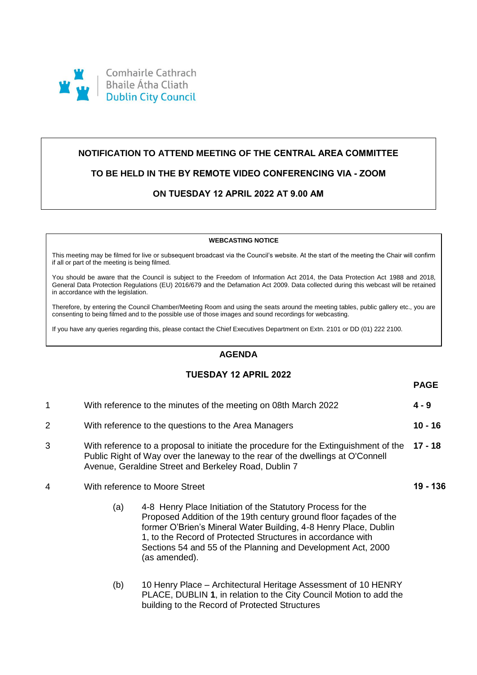

# **NOTIFICATION TO ATTEND MEETING OF THE CENTRAL AREA COMMITTEE**

## **TO BE HELD IN THE BY REMOTE VIDEO CONFERENCING VIA - ZOOM**

# **ON TUESDAY 12 APRIL 2022 AT 9.00 AM**

#### **WEBCASTING NOTICE**

This meeting may be filmed for live or subsequent broadcast via the Council's website. At the start of the meeting the Chair will confirm if all or part of the meeting is being filmed.

You should be aware that the Council is subject to the Freedom of Information Act 2014, the Data Protection Act 1988 and 2018, General Data Protection Regulations (EU) 2016/679 and the Defamation Act 2009. Data collected during this webcast will be retained in accordance with the legislation.

Therefore, by entering the Council Chamber/Meeting Room and using the seats around the meeting tables, public gallery etc., you are consenting to being filmed and to the possible use of those images and sound recordings for webcasting.

If you have any queries regarding this, please contact the Chief Executives Department on Extn. 2101 or DD (01) 222 2100.

## **AGENDA**

### **TUESDAY 12 APRIL 2022**

**PAGE**

| 1 | With reference to the minutes of the meeting on 08th March 2022                                                                                                                                                                | $4 - 9$   |
|---|--------------------------------------------------------------------------------------------------------------------------------------------------------------------------------------------------------------------------------|-----------|
| 2 | With reference to the questions to the Area Managers                                                                                                                                                                           | $10 - 16$ |
| 3 | With reference to a proposal to initiate the procedure for the Extinguishment of the<br>Public Right of Way over the laneway to the rear of the dwellings at O'Connell<br>Avenue, Geraldine Street and Berkeley Road, Dublin 7 | 17 - 18   |
| 4 | With reference to Moore Street                                                                                                                                                                                                 | 19 - 136  |
|   | 4-8 Henry Place Initiation of the Statutory Process for the<br>(a)<br>$\blacksquare$                                                                                                                                           |           |

- Proposed Addition of the 19th century ground floor façades of the former O'Brien's Mineral Water Building, 4-8 Henry Place, Dublin 1, to the Record of Protected Structures in accordance with Sections 54 and 55 of the Planning and Development Act, 2000 (as amended).
- (b) 10 Henry Place Architectural Heritage Assessment of 10 HENRY PLACE, DUBLIN **1**, in relation to the City Council Motion to add the building to the Record of Protected Structures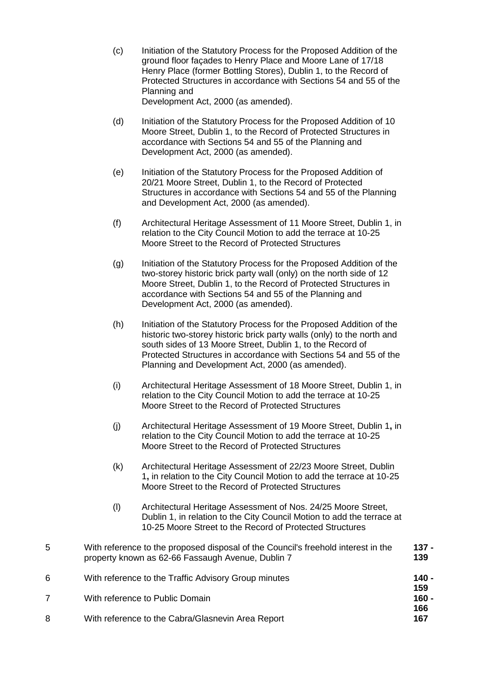- (c) Initiation of the Statutory Process for the Proposed Addition of the ground floor façades to Henry Place and Moore Lane of 17/18 Henry Place (former Bottling Stores), Dublin 1, to the Record of Protected Structures in accordance with Sections 54 and 55 of the Planning and Development Act, 2000 (as amended).
- (d) Initiation of the Statutory Process for the Proposed Addition of 10 Moore Street, Dublin 1, to the Record of Protected Structures in accordance with Sections 54 and 55 of the Planning and Development Act, 2000 (as amended).
- (e) Initiation of the Statutory Process for the Proposed Addition of 20/21 Moore Street, Dublin 1, to the Record of Protected Structures in accordance with Sections 54 and 55 of the Planning and Development Act, 2000 (as amended).
- (f) Architectural Heritage Assessment of 11 Moore Street, Dublin 1, in relation to the City Council Motion to add the terrace at 10-25 Moore Street to the Record of Protected Structures
- (g) Initiation of the Statutory Process for the Proposed Addition of the two-storey historic brick party wall (only) on the north side of 12 Moore Street, Dublin 1, to the Record of Protected Structures in accordance with Sections 54 and 55 of the Planning and Development Act, 2000 (as amended).
- (h) Initiation of the Statutory Process for the Proposed Addition of the historic two-storey historic brick party walls (only) to the north and south sides of 13 Moore Street, Dublin 1, to the Record of Protected Structures in accordance with Sections 54 and 55 of the Planning and Development Act, 2000 (as amended).
- (i) Architectural Heritage Assessment of 18 Moore Street, Dublin 1, in relation to the City Council Motion to add the terrace at 10-25 Moore Street to the Record of Protected Structures
- (j) Architectural Heritage Assessment of 19 Moore Street, Dublin 1**,** in relation to the City Council Motion to add the terrace at 10-25 Moore Street to the Record of Protected Structures
- (k) Architectural Heritage Assessment of 22/23 Moore Street, Dublin 1**,** in relation to the City Council Motion to add the terrace at 10-25 Moore Street to the Record of Protected Structures
- (l) Architectural Heritage Assessment of Nos. 24/25 Moore Street, Dublin 1, in relation to the City Council Motion to add the terrace at 10-25 Moore Street to the Record of Protected Structures
- 5 With reference to the proposed disposal of the Council's freehold interest in the property known as 62-66 Fassaugh Avenue, Dublin 7 **137 - 139** 6 With reference to the Traffic Advisory Group minutes **140 - 159** 7 With reference to Public Domain **160 - 166** 8 With reference to the Cabra/Glasnevin Area Report **167**